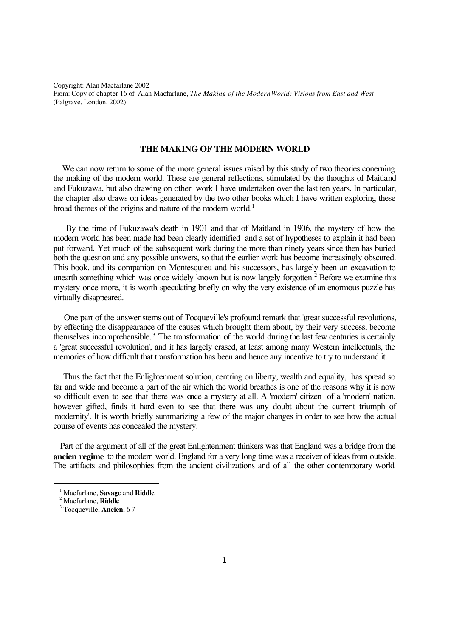## **THE MAKING OF THE MODERN WORLD**

We can now return to some of the more general issues raised by this study of two theories conerning the making of the modern world. These are general reflections, stimulated by the thoughts of Maitland and Fukuzawa, but also drawing on other work I have undertaken over the last ten years. In particular, the chapter also draws on ideas generated by the two other books which I have written exploring these broad themes of the origins and nature of the modern world.<sup>1</sup>

By the time of Fukuzawa's death in 1901 and that of Maitland in 1906, the mystery of how the modern world has been made had been clearly identified and a set of hypotheses to explain it had been put forward. Yet much of the subsequent work during the more than ninety years since then has buried both the question and any possible answers, so that the earlier work has become increasingly obscured. This book, and its companion on Montesquieu and his successors, has largely been an excavation to unearth something which was once widely known but is now largely forgotten. <sup>2</sup> Before we examine this mystery once more, it is worth speculating briefly on why the very existence of an enormous puzzle has virtually disappeared.

One part of the answer stems out of Tocqueville's profound remark that 'great successful revolutions, by effecting the disappearance of the causes which brought them about, by their very success, become themselves incomprehensible.<sup>13</sup> The transformation of the world during the last few centuries is certainly a 'great successful revolution', and it has largely erased, at least among many Western intellectuals, the memories of how difficult that transformation has been and hence any incentive to try to understand it.

Thus the fact that the Enlightenment solution, centring on liberty, wealth and equality, has spread so far and wide and become a part of the air which the world breathes is one of the reasons why it is now so difficult even to see that there was once a mystery at all. A 'modern' citizen of a 'modern' nation, however gifted, finds it hard even to see that there was any doubt about the current triumph of 'modernity'. It is worth briefly summarizing a few of the major changes in order to see how the actual course of events has concealed the mystery.

Part of the argument of all of the great Enlightenment thinkers was that England was a bridge from the **ancien regime** to the modern world. England for a very long time was a receiver of ideas from outside. The artifacts and philosophies from the ancient civilizations and of all the other contemporary world

<sup>1</sup> Macfarlane, **Savage** and **Riddle** <sup>2</sup> Macfarlane, **Riddle**

<sup>3</sup> Tocqueville, **Ancien**, 6-7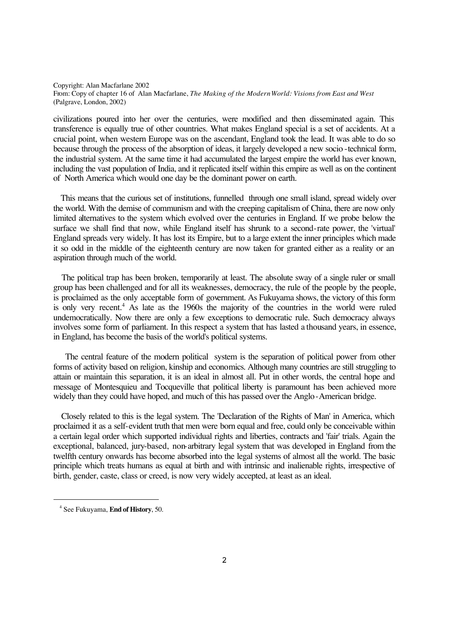civilizations poured into her over the centuries, were modified and then disseminated again. This transference is equally true of other countries. What makes England special is a set of accidents. At a crucial point, when western Europe was on the ascendant, England took the lead. It was able to do so because through the process of the absorption of ideas, it largely developed a new socio -technical form, the industrial system. At the same time it had accumulated the largest empire the world has ever known, including the vast population of India, and it replicated itself within this empire as well as on the continent of North America which would one day be the dominant power on earth.

This means that the curious set of institutions, funnelled through one small island, spread widely over the world. With the demise of communism and with the creeping capitalism of China, there are now only limited alternatives to the system which evolved over the centuries in England. If we probe below the surface we shall find that now, while England itself has shrunk to a second-rate power, the 'virtual' England spreads very widely. It has lost its Empire, but to a large extent the inner principles which made it so odd in the middle of the eighteenth century are now taken for granted either as a reality or an aspiration through much of the world.

The political trap has been broken, temporarily at least. The absolute sway of a single ruler or small group has been challenged and for all its weaknesses, democracy, the rule of the people by the people, is proclaimed as the only acceptable form of government. As Fukuyama shows, the victory of this form is only very recent. <sup>4</sup> As late as the 1960s the majority of the countries in the world were ruled undemocratically. Now there are only a few exceptions to democratic rule. Such democracy always involves some form of parliament. In this respect a system that has lasted a thousand years, in essence, in England, has become the basis of the world's political systems.

The central feature of the modern political system is the separation of political power from other forms of activity based on religion, kinship and economics. Although many countries are still struggling to attain or maintain this separation, it is an ideal in almost all. Put in other words, the central hope and message of Montesquieu and Tocqueville that political liberty is paramount has been achieved more widely than they could have hoped, and much of this has passed over the Anglo-American bridge.

Closely related to this is the legal system. The 'Declaration of the Rights of Man' in America, which proclaimed it as a self-evident truth that men were born equal and free, could only be conceivable within a certain legal order which supported individual rights and liberties, contracts and 'fair' trials. Again the exceptional, balanced, jury-based, non-arbitrary legal system that was developed in England from the twelfth century onwards has become absorbed into the legal systems of almost all the world. The basic principle which treats humans as equal at birth and with intrinsic and inalienable rights, irrespective of birth, gender, caste, class or creed, is now very widely accepted, at least as an ideal.

<sup>4</sup> See Fukuyama, **End of History**, 50.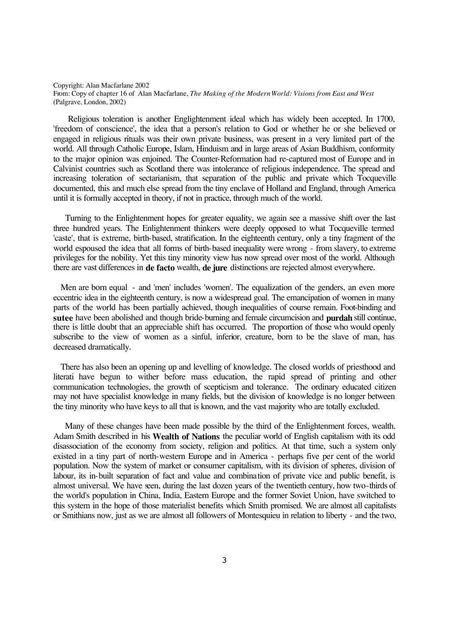Religious toleration is another Englightenment ideal which has widely been accepted. In 1700, 'freedom of conscience', the idea that a person's relation to God or whether he or she believed or engaged in religious rituals was their own private business, was present in a very limited part of the world. All through Catholic Europe, Islam, Hinduism and in large areas of Asian Buddhism, conformity to the major opinion was enjoined. The Counter-Reformation had re-captured most of Europe and in Calvinist countries such as Scotland there was intolerance of religious independence. The spread and increasing toleration of sectarianism, that separation of the public and private which Tocqueville documented, this and much else spread from the tiny enclave of Holland and England, through America until it is formally accepted in theory, if not in practice, through much of the world.

Turning to the Enlightenment hopes for greater equality, we again see a massive shift over the last three hundred years. The Enlightenment thinkers were deeply opposed to what Tocqueville termed 'caste', that is extreme, birth-based, stratification. In the eighteenth century, only a tiny fragment of the world espoused the idea that all forms of birth-based inequality were wrong - from slavery, to extreme privileges for the nobility. Yet this tiny minority view has now spread over most of the world. Although there are vast differences in **de facto** wealth, **de jure** distinctions are rejected almost everywhere.

Men are born equal - and 'men' includes 'women'. The equalization of the genders, an even more eccentric idea in the eighteenth century, is now a widespread goal. The emancipation of women in many parts of the world has been partially achieved, though inequalities of course remain. Foot-binding and **sutee** have been abolished and though bride-burning and female circumcision and **purdah** still continue, there is little doubt that an appreciable shift has occurred. The proportion of those who would openly subscribe to the view of women as a sinful, inferior, creature, born to be the slave of man, has decreased dramatically.

There has also been an opening up and levelling of knowledge. The closed worlds of priesthood and literati have begun to wither before mass education, the rapid spread of printing and other communication technologies, the growth of scepticism and tolerance. The ordinary educated citizen may not have specialist knowledge in many fields, but the division of knowledge is no longer between the tiny minority who have keys to all that is known, and the vast majority who are totally excluded.

Many of these changes have been made possible by the third of the Enlightenment forces, wealth. Adam Smith described in his **Wealth of Nations** the peculiar world of English capitalism with its odd disassociation of the economy from society, religion and politics. At that time, such a system only existed in a tiny part of north-western Europe and in America - perhaps five per cent of the world population. Now the system of market or consumer capitalism, with its division of spheres, division of labour, its in-built separation of fact and value and combination of private vice and public benefit, is almost universal. We have seen, during the last dozen years of the twentieth century, how two-thirds of the world's population in China, India, Eastern Europe and the former Soviet Union, have switched to this system in the hope of those materialist benefits which Smith promised. We are almost all capitalists or Smithians now, just as we are almost all followers of Montesquieu in relation to liberty - and the two,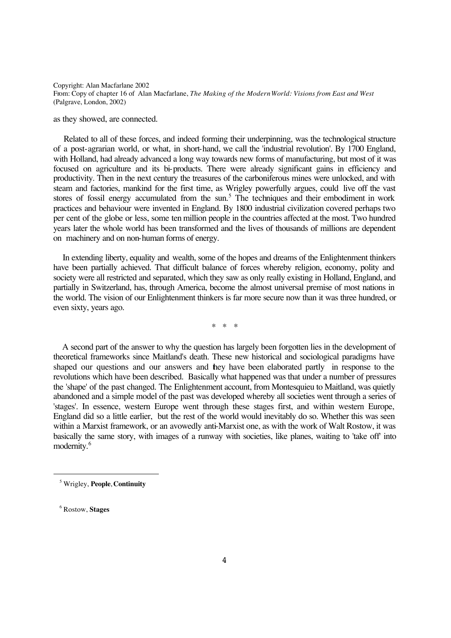as they showed, are connected.

Related to all of these forces, and indeed forming their underpinning, was the technological structure of a post-agrarian world, or what, in short-hand, we call the 'industrial revolution'. By 1700 England, with Holland, had already advanced a long way towards new forms of manufacturing, but most of it was focused on agriculture and its bi-products. There were already significant gains in efficiency and productivity. Then in the next century the treasures of the carboniferous mines were unlocked, and with steam and factories, mankind for the first time, as Wrigley powerfully argues, could live off the vast stores of fossil energy accumulated from the sun.<sup>5</sup> The techniques and their embodiment in work practices and behaviour were invented in England. By 1800 industrial civilization covered perhaps two per cent of the globe or less, some ten million people in the countries affected at the most. Two hundred years later the whole world has been transformed and the lives of thousands of millions are dependent on machinery and on non-human forms of energy.

In extending liberty, equality and wealth, some of the hopes and dreams of the Enlightenment thinkers have been partially achieved. That difficult balance of forces whereby religion, economy, polity and society were all restricted and separated, which they saw as only really existing in Holland, England, and partially in Switzerland, has, through America, become the almost universal premise of most nations in the world. The vision of our Enlightenment thinkers is far more secure now than it was three hundred, or even sixty, years ago.

\* \* \*

A second part of the answer to why the question has largely been forgotten lies in the development of theoretical frameworks since Maitland's death. These new historical and sociological paradigms have shaped our questions and our answers and they have been elaborated partly in response to the revolutions which have been described. Basically what happened was that under a number of pressures the 'shape' of the past changed. The Enlightenment account, from Montesquieu to Maitland, was quietly abandoned and a simple model of the past was developed whereby all societies went through a series of 'stages'. In essence, western Europe went through these stages first, and within western Europe, England did so a little earlier, but the rest of the world would inevitably do so. Whether this was seen within a Marxist framework, or an avowedly anti-Marxist one, as with the work of Walt Rostow, it was basically the same story, with images of a runway with societies, like planes, waiting to 'take off' into modernity. 6

<sup>5</sup> Wrigley, **People**, **Continuity**

<sup>6</sup> Rostow, **Stages**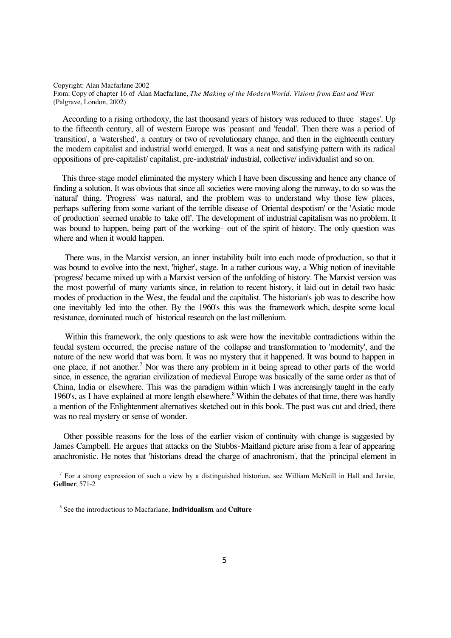According to a rising orthodoxy, the last thousand years of history was reduced to three 'stages'. Up to the fifteenth century, all of western Europe was 'peasant' and 'feudal'. Then there was a period of 'transition', a 'watershed', a century or two of revolutionary change, and then in the eighteenth century the modern capitalist and industrial world emerged. It was a neat and satisfying pattern with its radical oppositions of pre-capitalist/ capitalist, pre-industrial/ industrial, collective/ individualist and so on.

This three-stage model eliminated the mystery which I have been discussing and hence any chance of finding a solution. It was obvious that since all societies were moving along the runway, to do so was the 'natural' thing. 'Progress' was natural, and the problem was to understand why those few places, perhaps suffering from some variant of the terrible disease of 'Oriental despotism' or the 'Asiatic mode of production' seemed unable to 'take off'. The development of industrial capitalism was no problem. It was bound to happen, being part of the working- out of the spirit of history. The only question was where and when it would happen.

There was, in the Marxist version, an inner instability built into each mode of production, so that it was bound to evolve into the next, 'higher', stage. In a rather curious way, a Whig notion of inevitable 'progress' became mixed up with a Marxist version of the unfolding of history. The Marxist version was the most powerful of many variants since, in relation to recent history, it laid out in detail two basic modes of production in the West, the feudal and the capitalist. The historian's job was to describe how one inevitably led into the other. By the 1960's this was the framework which, despite some local resistance, dominated much of historical research on the last millenium.

Within this framework, the only questions to ask were how the inevitable contradictions within the feudal system occurred, the precise nature of the collapse and transformation to 'modernity', and the nature of the new world that was born. It was no mystery that it happened. It was bound to happen in one place, if not another. <sup>7</sup> Nor was there any problem in it being spread to other parts of the world since, in essence, the agrarian civilization of medieval Europe was basically of the same order as that of China, India or elsewhere. This was the paradigm within which I was increasingly taught in the early 1960's, as I have explained at more length elsewhere.<sup>8</sup> Within the debates of that time, there was hardly a mention of the Enlightenment alternatives sketched out in this book. The past was cut and dried, there was no real mystery or sense of wonder.

Other possible reasons for the loss of the earlier vision of continuity with change is suggested by James Campbell. He argues that attacks on the Stubbs-Maitland picture arise from a fear of appearing anachronistic. He notes that 'historians dread the charge of anachronism', that the 'principal element in

<sup>&</sup>lt;sup>7</sup> For a strong expression of such a view by a distinguished historian, see William McNeill in Hall and Jarvie, **Gellner**, 571-2

<sup>8</sup> See the introductions to Macfarlane, **Individualism**, and **Culture**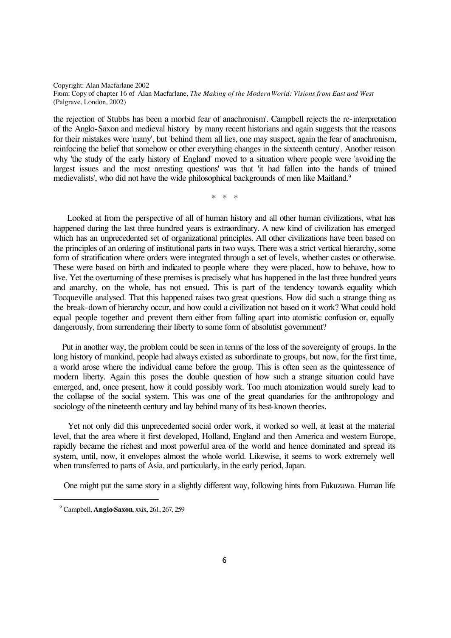the rejection of Stubbs has been a morbid fear of anachronism'. Campbell rejects the re-interpretation of the Anglo-Saxon and medieval history by many recent historians and again suggests that the reasons for their mistakes were 'many', but 'behind them all lies, one may suspect, again the fear of anachronism, reinfocing the belief that somehow or other everything changes in the sixteenth century'. Another reason why 'the study of the early history of England' moved to a situation where people were 'avoiding the largest issues and the most arresting questions' was that 'it had fallen into the hands of trained medievalists', who did not have the wide philosophical backgrounds of men like Maitland.<sup>9</sup>

\* \* \*

Looked at from the perspective of all of human history and all other human civilizations, what has happened during the last three hundred years is extraordinary. A new kind of civilization has emerged which has an unprecedented set of organizational principles. All other civilizations have been based on the principles of an ordering of institutional parts in two ways. There was a strict vertical hierarchy, some form of stratification where orders were integrated through a set of levels, whether castes or otherwise. These were based on birth and indicated to people where they were placed, how to behave, how to live. Yet the overturning of these premises is precisely what has happened in the last three hundred years and anarchy, on the whole, has not ensued. This is part of the tendency towards equality which Tocqueville analysed. That this happened raises two great questions. How did such a strange thing as the break-down of hierarchy occur, and how could a civilization not based on it work? What could hold equal people together and prevent them either from falling apart into atomistic confusion or, equally dangerously, from surrendering their liberty to some form of absolutist government?

Put in another way, the problem could be seen in terms of the loss of the sovereignty of groups. In the long history of mankind, people had always existed as subordinate to groups, but now, for the first time, a world arose where the individual came before the group. This is often seen as the quintessence of modern liberty. Again this poses the double question of how such a strange situation could have emerged, and, once present, how it could possibly work. Too much atomization would surely lead to the collapse of the social system. This was one of the great quandaries for the anthropology and sociology of the nineteenth century and lay behind many of its best-known theories.

Yet not only did this unprecedented social order work, it worked so well, at least at the material level, that the area where it first developed, Holland, England and then America and western Europe, rapidly became the richest and most powerful area of the world and hence dominated and spread its system, until, now, it envelopes almost the whole world. Likewise, it seems to work extremely well when transferred to parts of Asia, and particularly, in the early period, Japan.

One might put the same story in a slightly different way, following hints from Fukuzawa. Human life

<sup>9</sup> Campbell, **Anglo-Saxon**, xxix, 261, 267, 259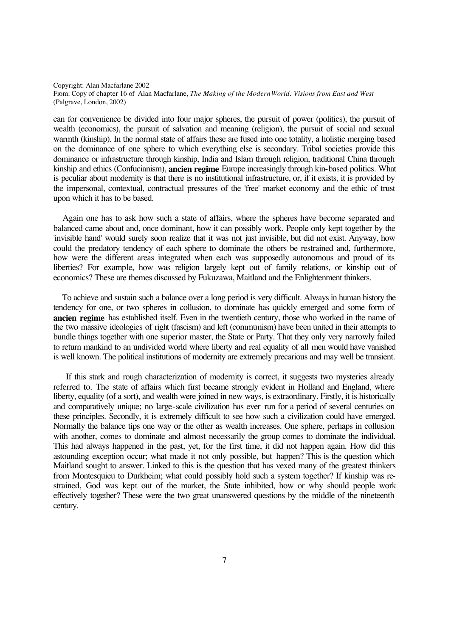can for convenience be divided into four major spheres, the pursuit of power (politics), the pursuit of wealth (economics), the pursuit of salvation and meaning (religion), the pursuit of social and sexual warmth (kinship). In the normal state of affairs these are fused into one totality, a holistic merging based on the dominance of one sphere to which everything else is secondary. Tribal societies provide this dominance or infrastructure through kinship, India and Islam through religion, traditional China through kinship and ethics (Confucianism), **ancien regime** Europe increasingly through kin-based politics. What is peculiar about modernity is that there is no institutional infrastructure, or, if it exists, it is provided by the impersonal, contextual, contractual pressures of the 'free' market economy and the ethic of trust upon which it has to be based.

Again one has to ask how such a state of affairs, where the spheres have become separated and balanced came about and, once dominant, how it can possibly work. People only kept together by the 'invisible hand' would surely soon realize that it was not just invisible, but did not exist. Anyway, how could the predatory tendency of each sphere to dominate the others be restrained and, furthermore, how were the different areas integrated when each was supposedly autonomous and proud of its liberties? For example, how was religion largely kept out of family relations, or kinship out of economics? These are themes discussed by Fukuzawa, Maitland and the Enlightenment thinkers.

To achieve and sustain such a balance over a long period is very difficult. Alwaysin human history the tendency for one, or two spheres in collusion, to dominate has quickly emerged and some form of **ancien regime** has established itself. Even in the twentieth century, those who worked in the name of the two massive ideologies of right (fascism) and left (communism) have been united in their attempts to bundle things together with one superior master, the State or Party. That they only very narrowly failed to return mankind to an undivided world where liberty and real equality of all men would have vanished is well known. The political institutions of modernity are extremely precarious and may well be transient.

If this stark and rough characterization of modernity is correct, it suggests two mysteries already referred to. The state of affairs which first became strongly evident in Holland and England, where liberty, equality (of a sort), and wealth were joined in new ways, is extraordinary. Firstly, it is historically and comparatively unique; no large-scale civilization has ever run for a period of several centuries on these principles. Secondly, it is extremely difficult to see how such a civilization could have emerged. Normally the balance tips one way or the other as wealth increases. One sphere, perhaps in collusion with another, comes to dominate and almost necessarily the group comes to dominate the individual. This had always happened in the past, yet, for the first time, it did not happen again. How did this astounding exception occur; what made it not only possible, but happen? This is the question which Maitland sought to answer. Linked to this is the question that has vexed many of the greatest thinkers from Montesquieu to Durkheim; what could possibly hold such a system together? If kinship was restrained, God was kept out of the market, the State inhibited, how or why should people work effectively together? These were the two great unanswered questions by the middle of the nineteenth century.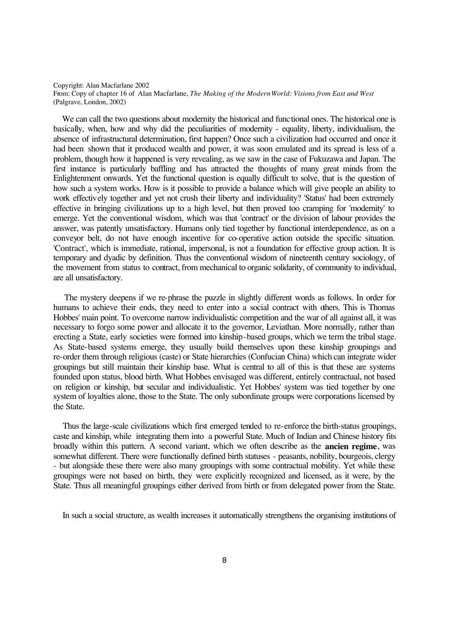We can call the two questions about modernity the historical and functional ones. The historical one is basically, when, how and why did the peculiarities of modernity - equality, liberty, individualism, the absence of infrastructural determination, first happen? Once such a civilization had occurred and once it had been shown that it produced wealth and power, it was soon emulated and its spread is less of a problem, though how it happened is very revealing, as we saw in the case of Fukuzawa and Japan. The first instance is particularly baffling and has attracted the thoughts of many great minds from the Enlightenment onwards. Yet the functional question is equally difficult to solve, that is the question of how such a system works. How is it possible to provide a balance which will give people an ability to work effectively together and yet not crush their liberty and individuality? 'Status' had been extremely effective in bringing civilizations up to a high level, but then proved too cramping for 'modernity' to emerge. Yet the conventional wisdom, which was that 'contract' or the division of labour provides the answer, was patently unsatisfactory. Humans only tied together by functional interdependence, as on a conveyor belt, do not have enough incentive for co-operative action outside the specific situation. 'Contract', which is immediate, rational, impersonal, is not a foundation for effective group action. It is temporary and dyadic by definition. Thus the conventional wisdom of nineteenth century sociology, of the movement from status to contract, from mechanical to organic solidarity, of community to individual, are all unsatisfactory.

The mystery deepens if we re-phrase the puzzle in slightly different words as follows. In order for humans to achieve their ends, they need to enter into a social contract with others. This is Thomas Hobbes' main point. To overcome narrow individualistic competition and the war of all against all, it was necessary to forgo some power and allocate it to the governor, Leviathan. More normally, rather than erecting a State, early societies were formed into kinship-based groups, which we term the tribal stage. As State-based systems emerge, they usually build themselves upon these kinship groupings and re-order them through religious (caste) or State hierarchies (Confucian China) which can integrate wider groupings but still maintain their kinship base. What is central to all of this is that these are systems founded upon status, blood birth. What Hobbes envisaged was different, entirely contractual, not based on religion or kinship, but secular and individualistic. Yet Hobbes' system was tied together by one system of loyalties alone, those to the State. The only subordinate groups were corporations licensed by the State.

Thus the large-scale civilizations which first emerged tended to re-enforce the birth-status groupings, caste and kinship, while integrating them into a powerful State. Much of Indian and Chinese history fits broadly within this pattern. A second variant, which we often describe as the **ancien regime**, was somewhat different. There were functionally defined birth statuses - peasants, nobility, bourgeois, clergy - but alongside these there were also many groupings with some contractual mobility. Yet while these groupings were not based on birth, they were explicitly recognized and licensed, as it were, by the State. Thus all meaningful groupings either derived from birth or from delegated power from the State.

In such a social structure, as wealth increases it automatically strengthens the organising institutions of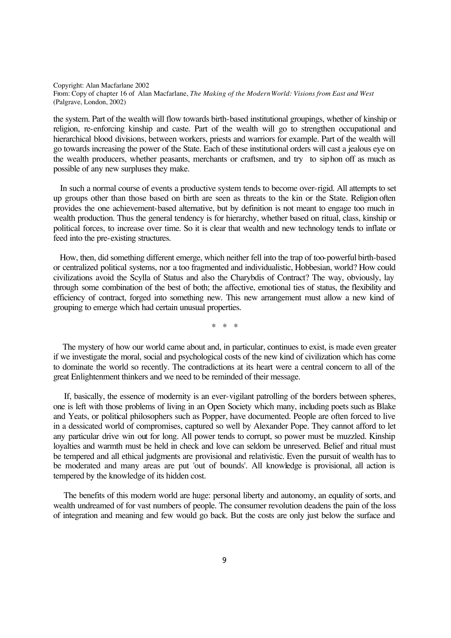the system. Part of the wealth will flow towards birth-based institutional groupings, whether of kinship or religion, re-enforcing kinship and caste. Part of the wealth will go to strengthen occupational and hierarchical blood divisions, between workers, priests and warriors for example. Part of the wealth will go towards increasing the power of the State. Each of these institutional orders will cast a jealous eye on the wealth producers, whether peasants, merchants or craftsmen, and try to siphon off as much as possible of any new surpluses they make.

In such a normal course of events a productive system tends to become over-rigid. All attempts to set up groups other than those based on birth are seen as threats to the kin or the State. Religion often provides the one achievement-based alternative, but by definition is not meant to engage too much in wealth production. Thus the general tendency is for hierarchy, whether based on ritual, class, kinship or political forces, to increase over time. So it is clear that wealth and new technology tends to inflate or feed into the pre-existing structures.

How, then, did something different emerge, which neither fell into the trap of too-powerful birth-based or centralized political systems, nor a too fragmented and individualistic, Hobbesian, world? How could civilizations avoid the Scylla of Status and also the Charybdis of Contract? The way, obviously, lay through some combination of the best of both; the affective, emotional ties of status, the flexibility and efficiency of contract, forged into something new. This new arrangement must allow a new kind of grouping to emerge which had certain unusual properties.

\* \* \*

The mystery of how our world came about and, in particular, continues to exist, is made even greater if we investigate the moral, social and psychological costs of the new kind of civilization which has come to dominate the world so recently. The contradictions at its heart were a central concern to all of the great Enlightenment thinkers and we need to be reminded of their message.

If, basically, the essence of modernity is an ever-vigilant patrolling of the borders between spheres, one is left with those problems of living in an Open Society which many, including poets such as Blake and Yeats, or political philosophers such as Popper, have documented. People are often forced to live in a dessicated world of compromises, captured so well by Alexander Pope. They cannot afford to let any particular drive win out for long. All power tends to corrupt, so power must be muzzled. Kinship loyalties and warmth must be held in check and love can seldom be unreserved. Belief and ritual must be tempered and all ethical judgments are provisional and relativistic. Even the pursuit of wealth has to be moderated and many areas are put 'out of bounds'. All knowledge is provisional, all action is tempered by the knowledge of its hidden cost.

The benefits of this modern world are huge: personal liberty and autonomy, an equality of sorts, and wealth undreamed of for vast numbers of people. The consumer revolution deadens the pain of the loss of integration and meaning and few would go back. But the costs are only just below the surface and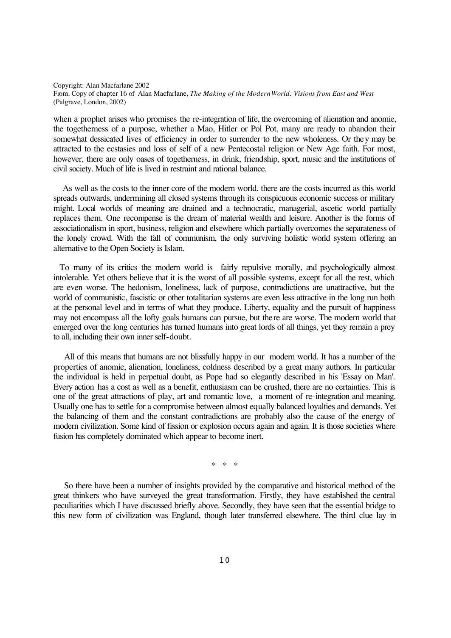when a prophet arises who promises the re-integration of life, the overcoming of alienation and anomie, the togetherness of a purpose, whether a Mao, Hitler or Pol Pot, many are ready to abandon their somewhat dessicated lives of efficiency in order to surrender to the new wholeness. Or they may be attracted to the ecstasies and loss of self of a new Pentecostal religion or New Age faith. For most, however, there are only oases of togetherness, in drink, friendship, sport, music and the institutions of civil society. Much of life is lived in restraint and rational balance.

As well as the costs to the inner core of the modern world, there are the costs incurred as this world spreads outwards, undermining all closed systems through its conspicuous economic success or military might. Local worlds of meaning are drained and a technocratic, managerial, ascetic world partially replaces them. One recompense is the dream of material wealth and leisure. Another is the forms of associationalism in sport, business, religion and elsewhere which partially overcomes the separateness of the lonely crowd. With the fall of communism, the only surviving holistic world system offering an alternative to the Open Society is Islam.

To many of its critics the modern world is fairly repulsive morally, and psychologically almost intolerable. Yet others believe that it is the worst of all possible systems, except for all the rest, which are even worse. The hedonism, loneliness, lack of purpose, contradictions are unattractive, but the world of communistic, fascistic or other totalitarian systems are even less attractive in the long run both at the personal level and in terms of what they produce. Liberty, equality and the pursuit of happiness may not encompass all the lofty goals humans can pursue, but there are worse. The modern world that emerged over the long centuries has turned humans into great lords of all things, yet they remain a prey to all, including their own inner self-doubt.

All of this means that humans are not blissfully happy in our modern world. It has a number of the properties of anomie, alienation, loneliness, coldness described by a great many authors. In particular the individual is held in perpetual doubt, as Pope had so elegantly described in his 'Essay on Man'. Every action has a cost as well as a benefit, enthusiasm can be crushed, there are no certainties. This is one of the great attractions of play, art and romantic love, a moment of re-integration and meaning. Usually one has to settle for a compromise between almost equally balanced loyalties and demands. Yet the balancing of them and the constant contradictions are probably also the cause of the energy of modern civilization. Some kind of fission or explosion occurs again and again. It is those societies where fusion has completely dominated which appear to become inert.

\* \* \*

So there have been a number of insights provided by the comparative and historical method of the great thinkers who have surveyed the great transformation. Firstly, they have established the central peculiarities which I have discussed briefly above. Secondly, they have seen that the essential bridge to this new form of civilization was England, though later transferred elsewhere. The third clue lay in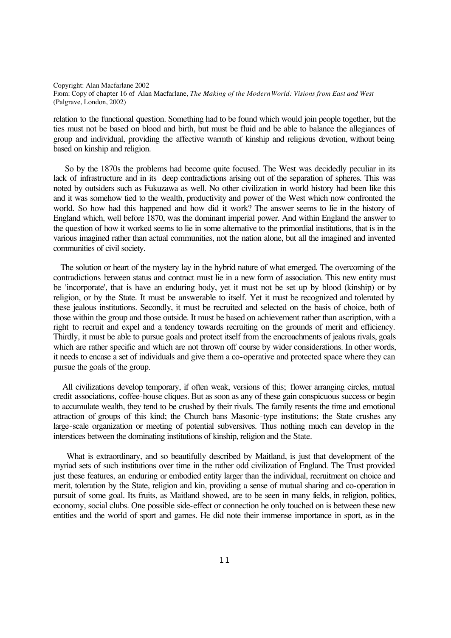relation to the functional question. Something had to be found which would join people together, but the ties must not be based on blood and birth, but must be fluid and be able to balance the allegiances of group and individual, providing the affective warmth of kinship and religious devotion, without being based on kinship and religion.

So by the 1870s the problems had become quite focused. The West was decidedly peculiar in its lack of infrastructure and in its deep contradictions arising out of the separation of spheres. This was noted by outsiders such as Fukuzawa as well. No other civilization in world history had been like this and it was somehow tied to the wealth, productivity and power of the West which now confronted the world. So how had this happened and how did it work? The answer seems to lie in the history of England which, well before 1870, was the dominant imperial power. And within England the answer to the question of how it worked seems to lie in some alternative to the primordial institutions, that is in the various imagined rather than actual communities, not the nation alone, but all the imagined and invented communities of civil society.

The solution or heart of the mystery lay in the hybrid nature of what emerged. The overcoming of the contradictions between status and contract must lie in a new form of association. This new entity must be 'incorporate', that is have an enduring body, yet it must not be set up by blood (kinship) or by religion, or by the State. It must be answerable to itself. Yet it must be recognized and tolerated by these jealous institutions. Secondly, it must be recruited and selected on the basis of choice, both of those within the group and those outside. It must be based on achievement rather than ascription, with a right to recruit and expel and a tendency towards recruiting on the grounds of merit and efficiency. Thirdly, it must be able to pursue goals and protect itself from the encroachments of jealous rivals, goals which are rather specific and which are not thrown off course by wider considerations. In other words, it needs to encase a set of individuals and give them a co-operative and protected space where they can pursue the goals of the group.

All civilizations develop temporary, if often weak, versions of this; flower arranging circles, mutual credit associations, coffee-house cliques. But as soon as any of these gain conspicuous success or begin to accumulate wealth, they tend to be crushed by their rivals. The family resents the time and emotional attraction of groups of this kind; the Church bans Masonic-type institutions; the State crushes any large-scale organization or meeting of potential subversives. Thus nothing much can develop in the interstices between the dominating institutions of kinship, religion and the State.

What is extraordinary, and so beautifully described by Maitland, is just that development of the myriad sets of such institutions over time in the rather odd civilization of England. The Trust provided just these features, an enduring or embodied entity larger than the individual, recruitment on choice and merit, toleration by the State, religion and kin, providing a sense of mutual sharing and co-operation in pursuit of some goal. Its fruits, as Maitland showed, are to be seen in many fields, in religion, politics, economy, social clubs. One possible side-effect or connection he only touched on is between these new entities and the world of sport and games. He did note their immense importance in sport, as in the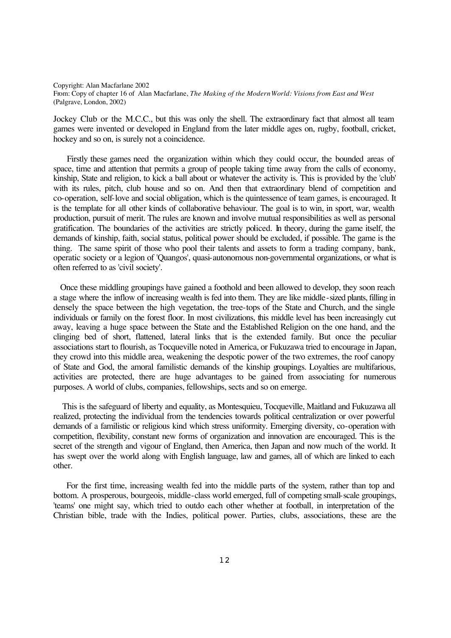Jockey Club or the M.C.C., but this was only the shell. The extraordinary fact that almost all team games were invented or developed in England from the later middle ages on, rugby, football, cricket, hockey and so on, is surely not a coincidence.

Firstly these games need the organization within which they could occur, the bounded areas of space, time and attention that permits a group of people taking time away from the calls of economy, kinship, State and religion, to kick a ball about or whatever the activity is. This is provided by the 'club' with its rules, pitch, club house and so on. And then that extraordinary blend of competition and co-operation, self-love and social obligation, which is the quintessence of team games, is encouraged. It is the template for all other kinds of collaborative behaviour. The goal is to win, in sport, war, wealth production, pursuit of merit. The rules are known and involve mutual responsibilities as well as personal gratification. The boundaries of the activities are strictly policed. In theory, during the game itself, the demands of kinship, faith, social status, political power should be excluded, if possible. The game is the thing. The same spirit of those who pool their talents and assets to form a trading company, bank, operatic society or a legion of 'Quangos', quasi-autonomous non-governmental organizations, or what is often referred to as 'civil society'.

Once these middling groupings have gained a foothold and been allowed to develop, they soon reach a stage where the inflow of increasing wealth is fed into them. They are like middle-sized plants, filling in densely the space between the high vegetation, the tree-tops of the State and Church, and the single individuals or family on the forest floor. In most civilizations, this middle level has been increasingly cut away, leaving a huge space between the State and the Established Religion on the one hand, and the clinging bed of short, flattened, lateral links that is the extended family. But once the peculiar associations start to flourish, as Tocqueville noted in America, or Fukuzawa tried to encourage in Japan, they crowd into this middle area, weakening the despotic power of the two extremes, the roof canopy of State and God, the amoral familistic demands of the kinship groupings. Loyalties are multifarious, activities are protected, there are huge advantages to be gained from associating for numerous purposes. A world of clubs, companies, fellowships, sects and so on emerge.

This is the safeguard of liberty and equality, as Montesquieu, Tocqueville, Maitland and Fukuzawa all realized, protecting the individual from the tendencies towards political centralization or over powerful demands of a familistic or religious kind which stress uniformity. Emerging diversity, co-operation with competition, flexibility, constant new forms of organization and innovation are encouraged. This is the secret of the strength and vigour of England, then America, then Japan and now much of the world. It has swept over the world along with English language, law and games, all of which are linked to each other.

For the first time, increasing wealth fed into the middle parts of the system, rather than top and bottom. A prosperous, bourgeois, middle-class world emerged, full of competing small-scale groupings, 'teams' one might say, which tried to outdo each other whether at football, in interpretation of the Christian bible, trade with the Indies, political power. Parties, clubs, associations, these are the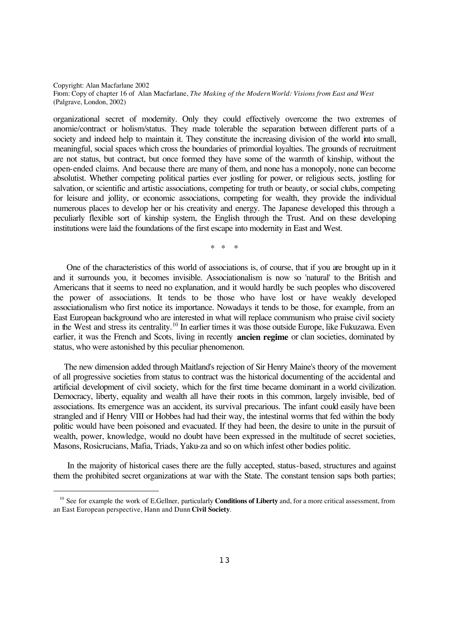organizational secret of modernity. Only they could effectively overcome the two extremes of anomie/contract or holism/status. They made tolerable the separation between different parts of a society and indeed help to maintain it. They constitute the increasing division of the world into small, meaningful, social spaces which cross the boundaries of primordial loyalties. The grounds of recruitment are not status, but contract, but once formed they have some of the warmth of kinship, without the open-ended claims. And because there are many of them, and none has a monopoly, none can become absolutist. Whether competing political parties ever jostling for power, or religious sects, jostling for salvation, or scientific and artistic associations, competing for truth or beauty, or social clubs, competing for leisure and jollity, or economic associations, competing for wealth, they provide the individual numerous places to develop her or his creativity and energy. The Japanese developed this through a peculiarly flexible sort of kinship system, the English through the Trust. And on these developing institutions were laid the foundations of the first escape into modernity in East and West.

\* \* \*

One of the characteristics of this world of associations is, of course, that if you are brought up in it and it surrounds you, it becomes invisible. Associationalism is now so 'natural' to the British and Americans that it seems to need no explanation, and it would hardly be such peoples who discovered the power of associations. It tends to be those who have lost or have weakly developed associationalism who first notice its importance. Nowadays it tends to be those, for example, from an East European background who are interested in what will replace communism who praise civil society in the West and stress its centrality.<sup>10</sup> In earlier times it was those outside Europe, like Fukuzawa. Even earlier, it was the French and Scots, living in recently **ancien regime** or clan societies, dominated by status, who were astonished by this peculiar phenomenon.

The new dimension added through Maitland's rejection of Sir Henry Maine's theory of the movement of all progressive societies from status to contract was the historical documenting of the accidental and artificial development of civil society, which for the first time became dominant in a world civilization. Democracy, liberty, equality and wealth all have their roots in this common, largely invisible, bed of associations. Its emergence was an accident, its survival precarious. The infant could easily have been strangled and if Henry VIII or Hobbes had had their way, the intestinal worms that fed within the body politic would have been poisoned and evacuated. If they had been, the desire to unite in the pursuit of wealth, power, knowledge, would no doubt have been expressed in the multitude of secret societies, Masons, Rosicrucians, Mafia, Triads, Yaku-za and so on which infest other bodies politic.

In the majority of historical cases there are the fully accepted, status-based, structures and against them the prohibited secret organizations at war with the State. The constant tension saps both parties;

<sup>10</sup> See for example the work of E.Gellner, particularly **Conditions of Liberty** and, for a more critical assessment, from an East European perspective, Hann and Dunn **Civil Society**.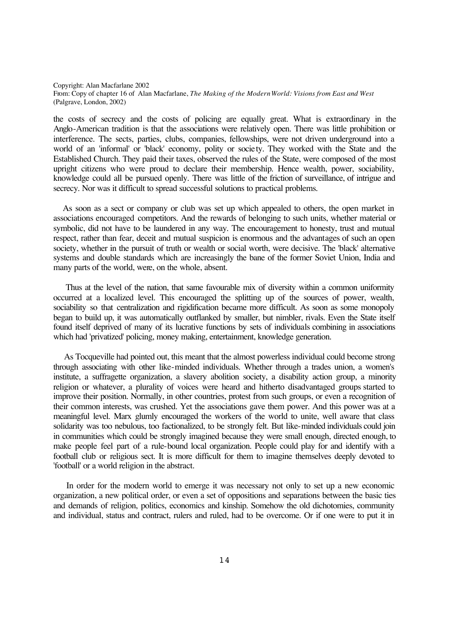the costs of secrecy and the costs of policing are equally great. What is extraordinary in the Anglo-American tradition is that the associations were relatively open. There was little prohibition or interference. The sects, parties, clubs, companies, fellowships, were not driven underground into a world of an 'informal' or 'black' economy, polity or society. They worked with the State and the Established Church. They paid their taxes, observed the rules of the State, were composed of the most upright citizens who were proud to declare their membership. Hence wealth, power, sociability, knowledge could all be pursued openly. There was little of the friction of surveillance, of intrigue and secrecy. Nor was it difficult to spread successful solutions to practical problems.

As soon as a sect or company or club was set up which appealed to others, the open market in associations encouraged competitors. And the rewards of belonging to such units, whether material or symbolic, did not have to be laundered in any way. The encouragement to honesty, trust and mutual respect, rather than fear, deceit and mutual suspicion is enormous and the advantages of such an open society, whether in the pursuit of truth or wealth or social worth, were decisive. The 'black' alternative systems and double standards which are increasingly the bane of the former Soviet Union, India and many parts of the world, were, on the whole, absent.

Thus at the level of the nation, that same favourable mix of diversity within a common uniformity occurred at a localized level. This encouraged the splitting up of the sources of power, wealth, sociability so that centralization and rigidification became more difficult. As soon as some monopoly began to build up, it was automatically outflanked by smaller, but nimbler, rivals. Even the State itself found itself deprived of many of its lucrative functions by sets of individuals combining in associations which had 'privatized' policing, money making, entertainment, knowledge generation.

As Tocqueville had pointed out, this meant that the almost powerless individual could become strong through associating with other like-minded individuals. Whether through a trades union, a women's institute, a suffragette organization, a slavery abolition society, a disability action group, a minority religion or whatever, a plurality of voices were heard and hitherto disadvantaged groups started to improve their position. Normally, in other countries, protest from such groups, or even a recognition of their common interests, was crushed. Yet the associations gave them power. And this power was at a meaningful level. Marx glumly encouraged the workers of the world to unite, well aware that class solidarity was too nebulous, too factionalized, to be strongly felt. But like-minded individuals could join in communities which could be strongly imagined because they were small enough, directed enough, to make people feel part of a rule-bound local organization. People could play for and identify with a football club or religious sect. It is more difficult for them to imagine themselves deeply devoted to 'football' or a world religion in the abstract.

In order for the modern world to emerge it was necessary not only to set up a new economic organization, a new political order, or even a set of oppositions and separations between the basic ties and demands of religion, politics, economics and kinship. Somehow the old dichotomies, community and individual, status and contract, rulers and ruled, had to be overcome. Or if one were to put it in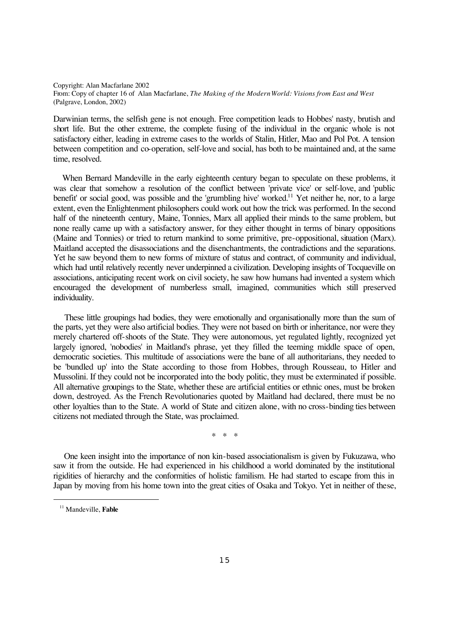Darwinian terms, the selfish gene is not enough. Free competition leads to Hobbes' nasty, brutish and short life. But the other extreme, the complete fusing of the individual in the organic whole is not satisfactory either, leading in extreme cases to the worlds of Stalin, Hitler, Mao and Pol Pot. A tension between competition and co-operation, self-love and social, has both to be maintained and, at the same time, resolved.

When Bernard Mandeville in the early eighteenth century began to speculate on these problems, it was clear that somehow a resolution of the conflict between 'private vice' or self-love, and 'public benefit' or social good, was possible and the 'grumbling hive' worked.<sup>11</sup> Yet neither he, nor, to a large extent, even the Enlightenment philosophers could work out how the trick was performed. In the second half of the nineteenth century, Maine, Tonnies, Marx all applied their minds to the same problem, but none really came up with a satisfactory answer, for they either thought in terms of binary oppositions (Maine and Tonnies) or tried to return mankind to some primitive, pre-oppositional, situation (Marx). Maitland accepted the disassociations and the disenchantments, the contradictions and the separations. Yet he saw beyond them to new forms of mixture of status and contract, of community and individual, which had until relatively recently never underpinned a civilization. Developing insights of Tocqueville on associations, anticipating recent work on civil society, he saw how humans had invented a system which encouraged the development of numberless small, imagined, communities which still preserved individuality.

These little groupings had bodies, they were emotionally and organisationally more than the sum of the parts, yet they were also artificial bodies. They were not based on birth or inheritance, nor were they merely chartered off-shoots of the State. They were autonomous, yet regulated lightly, recognized yet largely ignored, 'nobodies' in Maitland's phrase, yet they filled the teeming middle space of open, democratic societies. This multitude of associations were the bane of all authoritarians, they needed to be 'bundled up' into the State according to those from Hobbes, through Rousseau, to Hitler and Mussolini. If they could not be incorporated into the body politic, they must be exterminated if possible. All alternative groupings to the State, whether these are artificial entities or ethnic ones, must be broken down, destroyed. As the French Revolutionaries quoted by Maitland had declared, there must be no other loyalties than to the State. A world of State and citizen alone, with no cross-binding ties between citizens not mediated through the State, was proclaimed.

\* \* \*

One keen insight into the importance of non kin-based associationalism is given by Fukuzawa, who saw it from the outside. He had experienced in his childhood a world dominated by the institutional rigidities of hierarchy and the conformities of holistic familism. He had started to escape from this in Japan by moving from his home town into the great cities of Osaka and Tokyo. Yet in neither of these,

<sup>11</sup> Mandeville, **Fable**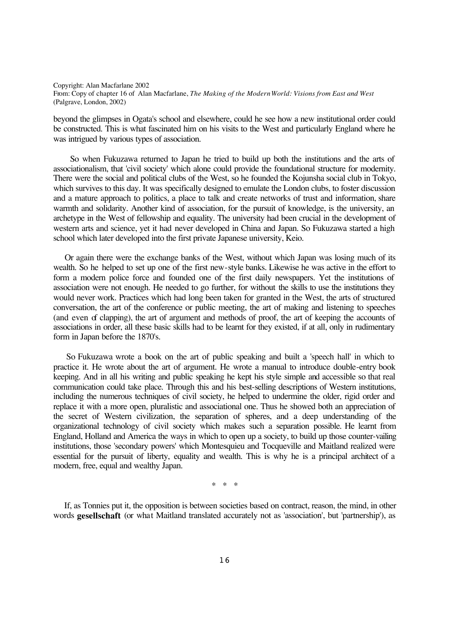beyond the glimpses in Ogata's school and elsewhere, could he see how a new institutional order could be constructed. This is what fascinated him on his visits to the West and particularly England where he was intrigued by various types of association.

So when Fukuzawa returned to Japan he tried to build up both the institutions and the arts of associationalism, that 'civil society' which alone could provide the foundational structure for modernity. There were the social and political clubs of the West, so he founded the Kojunsha social club in Tokyo, which survives to this day. It was specifically designed to emulate the London clubs, to foster discussion and a mature approach to politics, a place to talk and create networks of trust and information, share warmth and solidarity. Another kind of association, for the pursuit of knowledge, is the university, an archetype in the West of fellowship and equality. The university had been crucial in the development of western arts and science, yet it had never developed in China and Japan. So Fukuzawa started a high school which later developed into the first private Japanese university, Keio.

Or again there were the exchange banks of the West, without which Japan was losing much of its wealth. So he helped to set up one of the first new-style banks. Likewise he was active in the effort to form a modern police force and founded one of the first daily newspapers. Yet the institutions of association were not enough. He needed to go further, for without the skills to use the institutions they would never work. Practices which had long been taken for granted in the West, the arts of structured conversation, the art of the conference or public meeting, the art of making and listening to speeches (and even of clapping), the art of argument and methods of proof, the art of keeping the accounts of associations in order, all these basic skills had to be learnt for they existed, if at all, only in rudimentary form in Japan before the 1870's.

So Fukuzawa wrote a book on the art of public speaking and built a 'speech hall' in which to practice it. He wrote about the art of argument. He wrote a manual to introduce double-entry book keeping. And in all his writing and public speaking he kept his style simple and accessible so that real communication could take place. Through this and his best-selling descriptions of Western institutions, including the numerous techniques of civil society, he helped to undermine the older, rigid order and replace it with a more open, pluralistic and associational one. Thus he showed both an appreciation of the secret of Western civilization, the separation of spheres, and a deep understanding of the organizational technology of civil society which makes such a separation possible. He learnt from England, Holland and America the ways in which to open up a society, to build up those counter-vailing institutions, those 'secondary powers' which Montesquieu and Tocqueville and Maitland realized were essential for the pursuit of liberty, equality and wealth. This is why he is a principal architect of a modern, free, equal and wealthy Japan.

\* \* \*

 If, as Tonnies put it, the opposition is between societies based on contract, reason, the mind, in other words **gesellschaft** (or what Maitland translated accurately not as 'association', but 'partnership'), as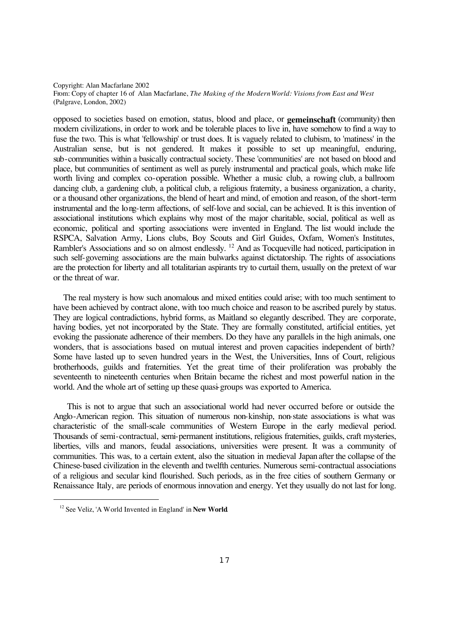opposed to societies based on emotion, status, blood and place, or **gemeinschaft** (community) then modern civilizations, in order to work and be tolerable places to live in, have somehow to find a way to fuse the two. This is what 'fellowship' or trust does. It is vaguely related to clubism, to 'matiness' in the Australian sense, but is not gendered. It makes it possible to set up meaningful, enduring, sub-communities within a basically contractual society. These 'communities' are not based on blood and place, but communities of sentiment as well as purely instrumental and practical goals, which make life worth living and complex co-operation possible. Whether a music club, a rowing club, a ballroom dancing club, a gardening club, a political club, a religious fraternity, a business organization, a charity, or a thousand other organizations, the blend of heart and mind, of emotion and reason, of the short-term instrumental and the long-term affections, of self-love and social, can be achieved. It is this invention of associational institutions which explains why most of the major charitable, social, political as well as economic, political and sporting associations were invented in England. The list would include the RSPCA, Salvation Army, Lions clubs, Boy Scouts and Girl Guides, Oxfam, Women's Institutes, Rambler's Associations and so on almost endlessly. <sup>12</sup> And as Tocqueville had noticed, participation in such self-governing associations are the main bulwarks against dictatorship. The rights of associations are the protection for liberty and all totalitarian aspirants try to curtail them, usually on the pretext of war or the threat of war.

The real mystery is how such anomalous and mixed entities could arise; with too much sentiment to have been achieved by contract alone, with too much choice and reason to be ascribed purely by status. They are logical contradictions, hybrid forms, as Maitland so elegantly described. They are corporate, having bodies, yet not incorporated by the State. They are formally constituted, artificial entities, yet evoking the passionate adherence of their members. Do they have any parallels in the high animals, one wonders, that is associations based on mutual interest and proven capacities independent of birth? Some have lasted up to seven hundred years in the West, the Universities, Inns of Court, religious brotherhoods, guilds and fraternities. Yet the great time of their proliferation was probably the seventeenth to nineteenth centuries when Britain became the richest and most powerful nation in the world. And the whole art of setting up these quasi-groups was exported to America.

This is not to argue that such an associational world had never occurred before or outside the Anglo-American region. This situation of numerous non-kinship, non-state associations is what was characteristic of the small-scale communities of Western Europe in the early medieval period. Thousands of semi-contractual, semi-permanent institutions, religious fraternities, guilds, craft mysteries, liberties, vills and manors, feudal associations, universities were present. It was a community of communities. This was, to a certain extent, also the situation in medieval Japan after the collapse of the Chinese-based civilization in the eleventh and twelfth centuries. Numerous semi-contractual associations of a religious and secular kind flourished. Such periods, as in the free cities of southern Germany or Renaissance Italy, are periods of enormous innovation and energy. Yet they usually do not last for long.

<sup>12</sup> See Veliz, 'A World Invented in England' in **New World**.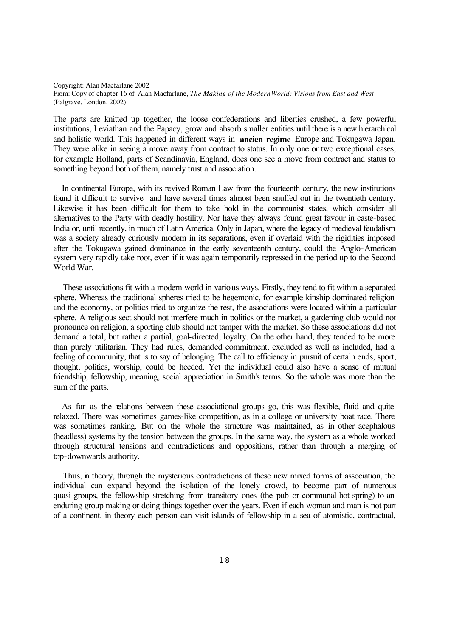The parts are knitted up together, the loose confederations and liberties crushed, a few powerful institutions, Leviathan and the Papacy, grow and absorb smaller entities until there is a new hierarchical and holistic world. This happened in different ways in **ancien regime** Europe and Tokugawa Japan. They were alike in seeing a move away from contract to status. In only one or two exceptional cases, for example Holland, parts of Scandinavia, England, does one see a move from contract and status to something beyond both of them, namely trust and association.

In continental Europe, with its revived Roman Law from the fourteenth century, the new institutions found it difficult to survive and have several times almost been snuffed out in the twentieth century. Likewise it has been difficult for them to take hold in the communist states, which consider all alternatives to the Party with deadly hostility. Nor have they always found great favour in caste-based India or, until recently, in much of Latin America. Only in Japan, where the legacy of medieval feudalism was a society already curiously modern in its separations, even if overlaid with the rigidities imposed after the Tokugawa gained dominance in the early seventeenth century, could the Anglo-American system very rapidly take root, even if it was again temporarily repressed in the period up to the Second World War.

These associations fit with a modern world in various ways. Firstly, they tend to fit within a separated sphere. Whereas the traditional spheres tried to be hegemonic, for example kinship dominated religion and the economy, or politics tried to organize the rest, the associations were located within a particular sphere. A religious sect should not interfere much in politics or the market, a gardening club would not pronounce on religion, a sporting club should not tamper with the market. So these associations did not demand a total, but rather a partial, goal-directed, loyalty. On the other hand, they tended to be more than purely utilitarian. They had rules, demanded commitment, excluded as well as included, had a feeling of community, that is to say of belonging. The call to efficiency in pursuit of certain ends, sport, thought, politics, worship, could be heeded. Yet the individual could also have a sense of mutual friendship, fellowship, meaning, social appreciation in Smith's terms. So the whole was more than the sum of the parts.

As far as the relations between these associational groups go, this was flexible, fluid and quite relaxed. There was sometimes games-like competition, as in a college or university boat race. There was sometimes ranking. But on the whole the structure was maintained, as in other acephalous (headless) systems by the tension between the groups. In the same way, the system as a whole worked through structural tensions and contradictions and oppositions, rather than through a merging of top-downwards authority.

Thus, in theory, through the mysterious contradictions of these new mixed forms of association, the individual can expand beyond the isolation of the lonely crowd, to become part of numerous quasi-groups, the fellowship stretching from transitory ones (the pub or communal hot spring) to an enduring group making or doing things together over the years. Even if each woman and man is not part of a continent, in theory each person can visit islands of fellowship in a sea of atomistic, contractual,